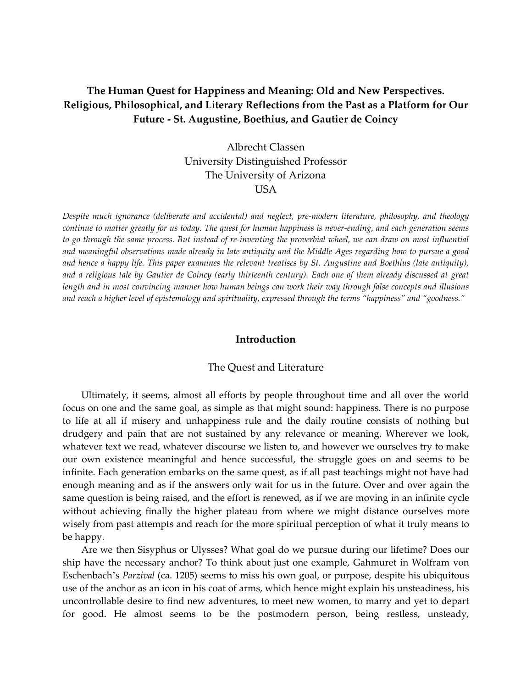# **The Human Quest for Happiness and Meaning: Old and New Perspectives. Religious, Philosophical, and Literary Reflections from the Past as a Platform for Our Future - St. Augustine, Boethius, and Gautier de Coincy**

Albrecht Classen University Distinguished Professor The University of Arizona USA

*Despite much ignorance (deliberate and accidental) and neglect, pre-modern literature, philosophy, and theology continue to matter greatly for us today. The quest for human happiness is never-ending, and each generation seems*  to go through the same process. But instead of re-inventing the proverbial wheel, we can draw on most influential *and meaningful observations made already in late antiquity and the Middle Ages regarding how to pursue a good and hence a happy life. This paper examines the relevant treatises by St. Augustine and Boethius (late antiquity),*  and a religious tale by Gautier de Coincy (early thirteenth century). Each one of them already discussed at great *length and in most convincing manner how human beings can work their way through false concepts and illusions and reach a higher level of epistemology and spirituality, expressed through the terms "happiness" and "goodness."*

# **Introduction**

#### The Quest and Literature

Ultimately, it seems, almost all efforts by people throughout time and all over the world focus on one and the same goal, as simple as that might sound: happiness. There is no purpose to life at all if misery and unhappiness rule and the daily routine consists of nothing but drudgery and pain that are not sustained by any relevance or meaning. Wherever we look, whatever text we read, whatever discourse we listen to, and however we ourselves try to make our own existence meaningful and hence successful, the struggle goes on and seems to be infinite. Each generation embarks on the same quest, as if all past teachings might not have had enough meaning and as if the answers only wait for us in the future. Over and over again the same question is being raised, and the effort is renewed, as if we are moving in an infinite cycle without achieving finally the higher plateau from where we might distance ourselves more wisely from past attempts and reach for the more spiritual perception of what it truly means to be happy.

Are we then Sisyphus or Ulysses? What goal do we pursue during our lifetime? Does our ship have the necessary anchor? To think about just one example, Gahmuret in Wolfram von Eschenbach's *Parzival* (ca. 1205) seems to miss his own goal, or purpose, despite his ubiquitous use of the anchor as an icon in his coat of arms, which hence might explain his unsteadiness, his uncontrollable desire to find new adventures, to meet new women, to marry and yet to depart for good. He almost seems to be the postmodern person, being restless, unsteady,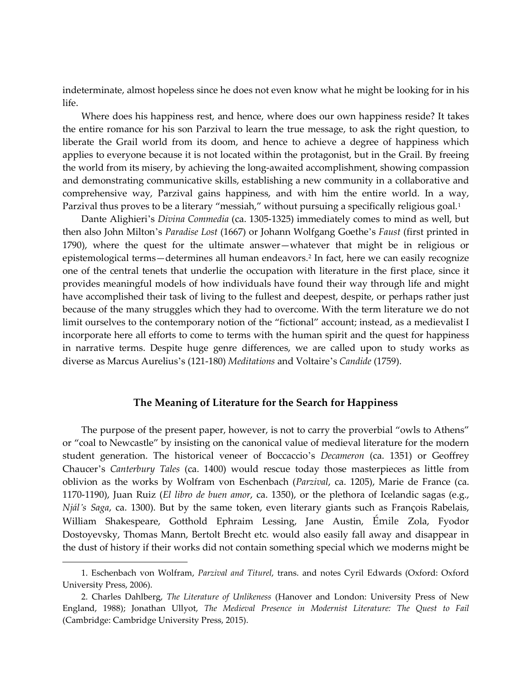indeterminate, almost hopeless since he does not even know what he might be looking for in his life.

Where does his happiness rest, and hence, where does our own happiness reside? It takes the entire romance for his son Parzival to learn the true message, to ask the right question, to liberate the Grail world from its doom, and hence to achieve a degree of happiness which applies to everyone because it is not located within the protagonist, but in the Grail. By freeing the world from its misery, by achieving the long-awaited accomplishment, showing compassion and demonstrating communicative skills, establishing a new community in a collaborative and comprehensive way, Parzival gains happiness, and with him the entire world. In a way, Parzival thus proves to be a literary "messiah," without pursuing a specifically religious goal.<sup>[1](#page-1-0)</sup>

Dante Alighieri's *Divina Commedia* (ca. 1305-1325) immediately comes to mind as well, but then also John Milton's *Paradise Lost* (1667) or Johann Wolfgang Goethe's *Faust* (first printed in 1790), where the quest for the ultimate answer—whatever that might be in religious or epistemological terms—determines all human endeavors.[2](#page-1-1) In fact, here we can easily recognize one of the central tenets that underlie the occupation with literature in the first place, since it provides meaningful models of how individuals have found their way through life and might have accomplished their task of living to the fullest and deepest, despite, or perhaps rather just because of the many struggles which they had to overcome. With the term literature we do not limit ourselves to the contemporary notion of the "fictional" account; instead, as a medievalist I incorporate here all efforts to come to terms with the human spirit and the quest for happiness in narrative terms. Despite huge genre differences, we are called upon to study works as diverse as Marcus Aurelius's (121-180) *Meditations* and Voltaire's *Candide* (1759).

## **The Meaning of Literature for the Search for Happiness**

The purpose of the present paper, however, is not to carry the proverbial "owls to Athens" or "coal to Newcastle" by insisting on the canonical value of medieval literature for the modern student generation. The historical veneer of Boccaccio's *Decameron* (ca. 1351) or Geoffrey Chaucer's *Canterbury Tales* (ca. 1400) would rescue today those masterpieces as little from oblivion as the works by Wolfram von Eschenbach (*Parzival*, ca. 1205), Marie de France (ca. 1170-1190), Juan Ruiz (*El libro de buen amor*, ca. 1350), or the plethora of Icelandic sagas (e.g., *Njál's Saga*, ca. 1300). But by the same token, even literary giants such as François Rabelais, William Shakespeare, Gotthold Ephraim Lessing, Jane Austin, Émile Zola, Fyodor Dostoyevsky, Thomas Mann, Bertolt Brecht etc. would also easily fall away and disappear in the dust of history if their works did not contain something special which we moderns might be

<span id="page-1-0"></span><sup>1.</sup> Eschenbach von Wolfram, *Parzival and Titurel*, trans. and notes Cyril Edwards (Oxford: Oxford University Press, 2006).

<span id="page-1-1"></span><sup>2.</sup> Charles Dahlberg, *The Literature of Unlikeness* (Hanover and London: University Press of New England, 1988); Jonathan Ullyot, *The Medieval Presence in Modernist Literature: The Quest to Fail* (Cambridge: Cambridge University Press, 2015).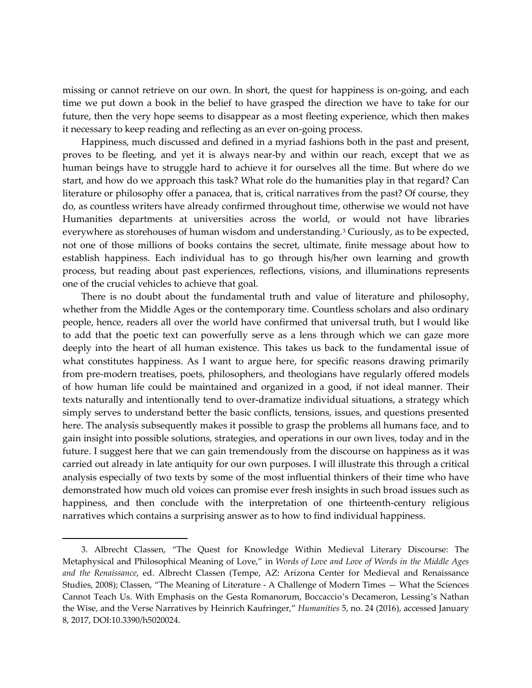missing or cannot retrieve on our own. In short, the quest for happiness is on-going, and each time we put down a book in the belief to have grasped the direction we have to take for our future, then the very hope seems to disappear as a most fleeting experience, which then makes it necessary to keep reading and reflecting as an ever on-going process.

Happiness, much discussed and defined in a myriad fashions both in the past and present, proves to be fleeting, and yet it is always near-by and within our reach, except that we as human beings have to struggle hard to achieve it for ourselves all the time. But where do we start, and how do we approach this task? What role do the humanities play in that regard? Can literature or philosophy offer a panacea, that is, critical narratives from the past? Of course, they do, as countless writers have already confirmed throughout time, otherwise we would not have Humanities departments at universities across the world, or would not have libraries everywhere as storehouses of human wisdom and understanding[.3](#page-2-0) Curiously, as to be expected, not one of those millions of books contains the secret, ultimate, finite message about how to establish happiness. Each individual has to go through his/her own learning and growth process, but reading about past experiences, reflections, visions, and illuminations represents one of the crucial vehicles to achieve that goal.

There is no doubt about the fundamental truth and value of literature and philosophy, whether from the Middle Ages or the contemporary time. Countless scholars and also ordinary people, hence, readers all over the world have confirmed that universal truth, but I would like to add that the poetic text can powerfully serve as a lens through which we can gaze more deeply into the heart of all human existence. This takes us back to the fundamental issue of what constitutes happiness. As I want to argue here, for specific reasons drawing primarily from pre-modern treatises, poets, philosophers, and theologians have regularly offered models of how human life could be maintained and organized in a good, if not ideal manner. Their texts naturally and intentionally tend to over-dramatize individual situations, a strategy which simply serves to understand better the basic conflicts, tensions, issues, and questions presented here. The analysis subsequently makes it possible to grasp the problems all humans face, and to gain insight into possible solutions, strategies, and operations in our own lives, today and in the future. I suggest here that we can gain tremendously from the discourse on happiness as it was carried out already in late antiquity for our own purposes. I will illustrate this through a critical analysis especially of two texts by some of the most influential thinkers of their time who have demonstrated how much old voices can promise ever fresh insights in such broad issues such as happiness, and then conclude with the interpretation of one thirteenth-century religious narratives which contains a surprising answer as to how to find individual happiness.

<span id="page-2-0"></span><sup>3.</sup> Albrecht Classen, "The Quest for Knowledge Within Medieval Literary Discourse: The Metaphysical and Philosophical Meaning of Love," in *Words of Love and Love of Words in the Middle Ages and the Renaissance*, ed. Albrecht Classen (Tempe, AZ: Arizona Center for Medieval and Renaissance Studies, 2008); Classen, "The Meaning of Literature - A Challenge of Modern Times — What the Sciences Cannot Teach Us. With Emphasis on the Gesta Romanorum, Boccaccio's Decameron, Lessing's Nathan the Wise, and the Verse Narratives by Heinrich Kaufringer," *Humanities* 5, no. 24 (2016), accessed January 8, 2017, DOI:10.3390/h5020024.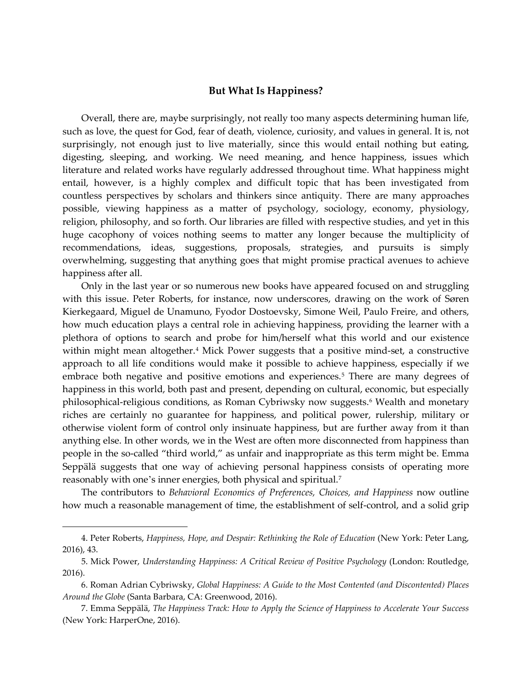#### **But What Is Happiness?**

Overall, there are, maybe surprisingly, not really too many aspects determining human life, such as love, the quest for God, fear of death, violence, curiosity, and values in general. It is, not surprisingly, not enough just to live materially, since this would entail nothing but eating, digesting, sleeping, and working. We need meaning, and hence happiness, issues which literature and related works have regularly addressed throughout time. What happiness might entail, however, is a highly complex and difficult topic that has been investigated from countless perspectives by scholars and thinkers since antiquity. There are many approaches possible, viewing happiness as a matter of psychology, sociology, economy, physiology, religion, philosophy, and so forth. Our libraries are filled with respective studies, and yet in this huge cacophony of voices nothing seems to matter any longer because the multiplicity of recommendations, ideas, suggestions, proposals, strategies, and pursuits is simply overwhelming, suggesting that anything goes that might promise practical avenues to achieve happiness after all.

Only in the last year or so numerous new books have appeared focused on and struggling with this issue. Peter Roberts, for instance, now underscores, drawing on the work of Søren Kierkegaard, Miguel de Unamuno, Fyodor Dostoevsky, Simone Weil, Paulo Freire, and others, how much education plays a central role in achieving happiness, providing the learner with a plethora of options to search and probe for him/herself what this world and our existence within might mean altogether.<sup>[4](#page-3-0)</sup> Mick Power suggests that a positive mind-set, a constructive approach to all life conditions would make it possible to achieve happiness, especially if we embrace both negative and positive emotions and experiences.<sup>[5](#page-3-1)</sup> There are many degrees of happiness in this world, both past and present, depending on cultural, economic, but especially philosophical-religious conditions, as Roman Cybriwsky now suggests.<sup>[6](#page-3-2)</sup> Wealth and monetary riches are certainly no guarantee for happiness, and political power, rulership, military or otherwise violent form of control only insinuate happiness, but are further away from it than anything else. In other words, we in the West are often more disconnected from happiness than people in the so-called "third world," as unfair and inappropriate as this term might be. Emma Seppälä suggests that one way of achieving personal happiness consists of operating more reasonably with one's inner energies, both physical and spiritual.[7](#page-3-3)

The contributors to *Behavioral Economics of Preferences, Choices, and Happiness* now outline how much a reasonable management of time, the establishment of self-control, and a solid grip

<span id="page-3-0"></span><sup>4.</sup> Peter Roberts, *Happiness, Hope, and Despair: Rethinking the Role of Education* (New York: Peter Lang, 2016), 43.

<span id="page-3-1"></span><sup>5.</sup> Mick Power, *Understanding Happiness: A Critical Review of Positive Psychology* (London: Routledge, 2016).

<span id="page-3-2"></span><sup>6.</sup> Roman Adrian Cybriwsky, *Global Happiness: A Guide to the Most Contented (and Discontented) Places Around the Globe* (Santa Barbara, CA: Greenwood, 2016).

<span id="page-3-3"></span><sup>7.</sup> Emma Seppälä, *The Happiness Track: How to Apply the Science of Happiness to Accelerate Your Success* (New York: HarperOne, 2016).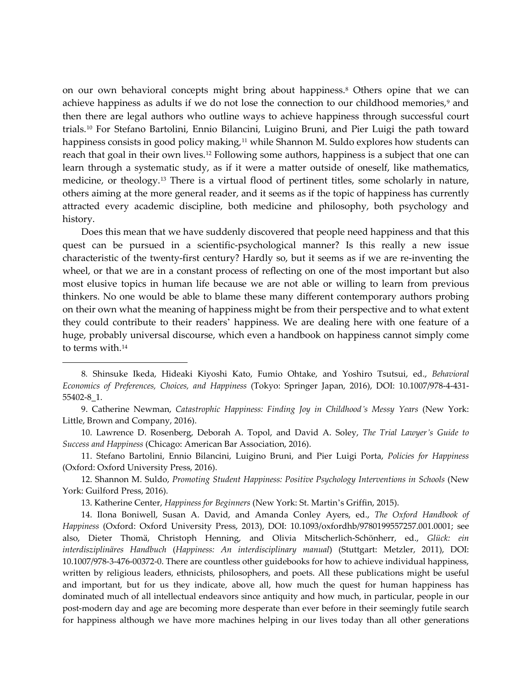on our own behavioral concepts might bring about happiness.<sup>[8](#page-4-0)</sup> Others opine that we can achieve happiness as adults if we do not lose the connection to our childhood memories, $9$  and then there are legal authors who outline ways to achieve happiness through successful court trials.[10](#page-4-2) For Stefano Bartolini, Ennio Bilancini, Luigino Bruni, and Pier Luigi the path toward happiness consists in good policy making,<sup>[11](#page-4-3)</sup> while Shannon M. Suldo explores how students can reach that goal in their own lives.[12](#page-4-4) Following some authors, happiness is a subject that one can learn through a systematic study, as if it were a matter outside of oneself, like mathematics, medicine, or theology.[13](#page-4-5) There is a virtual flood of pertinent titles, some scholarly in nature, others aiming at the more general reader, and it seems as if the topic of happiness has currently attracted every academic discipline, both medicine and philosophy, both psychology and history.

Does this mean that we have suddenly discovered that people need happiness and that this quest can be pursued in a scientific-psychological manner? Is this really a new issue characteristic of the twenty-first century? Hardly so, but it seems as if we are re-inventing the wheel, or that we are in a constant process of reflecting on one of the most important but also most elusive topics in human life because we are not able or willing to learn from previous thinkers. No one would be able to blame these many different contemporary authors probing on their own what the meaning of happiness might be from their perspective and to what extent they could contribute to their readers' happiness. We are dealing here with one feature of a huge, probably universal discourse, which even a handbook on happiness cannot simply come to terms with.[14](#page-4-6)

<span id="page-4-3"></span>11. Stefano Bartolini, Ennio Bilancini, Luigino Bruni, and Pier Luigi Porta, *Policies for Happiness* (Oxford: Oxford University Press, 2016).

<span id="page-4-4"></span>12. Shannon M. Suldo, *Promoting Student Happiness: Positive Psychology Interventions in Schools* (New York: Guilford Press, 2016).

13. Katherine Center, *Happiness for Beginners* (New York: St. Martin's Griffin, 2015).

 $\overline{a}$ 

<span id="page-4-6"></span><span id="page-4-5"></span>14. Ilona Boniwell, Susan A. David, and Amanda Conley Ayers, ed., *The Oxford Handbook of Happiness* (Oxford: Oxford University Press, 2013), DOI: 10.1093/oxfordhb/9780199557257.001.0001; see also, Dieter Thomä, Christoph Henning, and Olivia Mitscherlich-Schönherr, ed., *Glück: ein interdisziplinäres Handbuch* (*Happiness: An interdisciplinary manual*) (Stuttgart: Metzler, 2011), DOI: 10.1007/978-3-476-00372-0. There are countless other guidebooks for how to achieve individual happiness, written by religious leaders, ethnicists, philosophers, and poets. All these publications might be useful and important, but for us they indicate, above all, how much the quest for human happiness has dominated much of all intellectual endeavors since antiquity and how much, in particular, people in our post-modern day and age are becoming more desperate than ever before in their seemingly futile search for happiness although we have more machines helping in our lives today than all other generations

<span id="page-4-0"></span><sup>8</sup>*.* Shinsuke Ikeda, Hideaki Kiyoshi Kato, Fumio Ohtake, and Yoshiro Tsutsui, ed., *Behavioral Economics of Preferences, Choices, and Happiness* (Tokyo: Springer Japan, 2016), DOI: 10.1007/978-4-431- 55402-8\_1.

<span id="page-4-1"></span><sup>9.</sup> Catherine Newman, *Catastrophic Happiness: Finding Joy in Childhood's Messy Years* (New York: Little, Brown and Company, 2016).

<span id="page-4-2"></span><sup>10.</sup> Lawrence D. Rosenberg, Deborah A. Topol, and David A. Soley, *The Trial Lawyer's Guide to Success and Happiness* (Chicago: American Bar Association, 2016).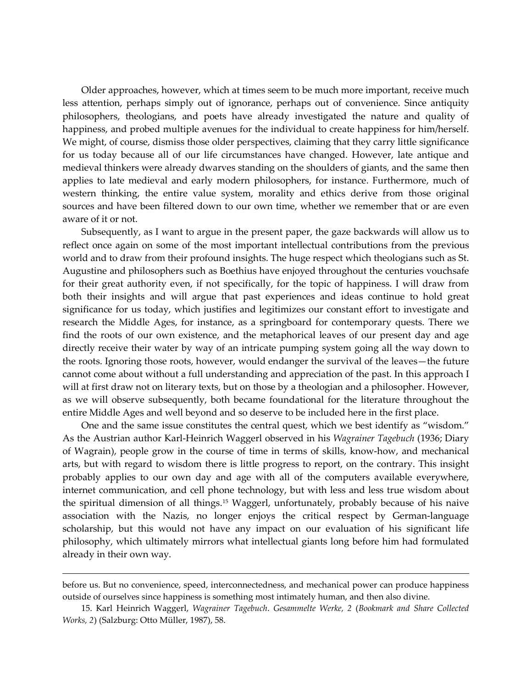Older approaches, however, which at times seem to be much more important, receive much less attention, perhaps simply out of ignorance, perhaps out of convenience. Since antiquity philosophers, theologians, and poets have already investigated the nature and quality of happiness, and probed multiple avenues for the individual to create happiness for him/herself. We might, of course, dismiss those older perspectives, claiming that they carry little significance for us today because all of our life circumstances have changed. However, late antique and medieval thinkers were already dwarves standing on the shoulders of giants, and the same then applies to late medieval and early modern philosophers, for instance. Furthermore, much of western thinking, the entire value system, morality and ethics derive from those original sources and have been filtered down to our own time, whether we remember that or are even aware of it or not.

Subsequently, as I want to argue in the present paper, the gaze backwards will allow us to reflect once again on some of the most important intellectual contributions from the previous world and to draw from their profound insights. The huge respect which theologians such as St. Augustine and philosophers such as Boethius have enjoyed throughout the centuries vouchsafe for their great authority even, if not specifically, for the topic of happiness. I will draw from both their insights and will argue that past experiences and ideas continue to hold great significance for us today, which justifies and legitimizes our constant effort to investigate and research the Middle Ages, for instance, as a springboard for contemporary quests. There we find the roots of our own existence, and the metaphorical leaves of our present day and age directly receive their water by way of an intricate pumping system going all the way down to the roots. Ignoring those roots, however, would endanger the survival of the leaves—the future cannot come about without a full understanding and appreciation of the past. In this approach I will at first draw not on literary texts, but on those by a theologian and a philosopher. However, as we will observe subsequently, both became foundational for the literature throughout the entire Middle Ages and well beyond and so deserve to be included here in the first place.

One and the same issue constitutes the central quest, which we best identify as "wisdom." As the Austrian author Karl-Heinrich Waggerl observed in his *Wagrainer Tagebuch* (1936; Diary of Wagrain), people grow in the course of time in terms of skills, know-how, and mechanical arts, but with regard to wisdom there is little progress to report, on the contrary. This insight probably applies to our own day and age with all of the computers available everywhere, internet communication, and cell phone technology, but with less and less true wisdom about the spiritual dimension of all things.<sup>[15](#page-5-0)</sup> Waggerl, unfortunately, probably because of his naive association with the Nazis, no longer enjoys the critical respect by German-language scholarship, but this would not have any impact on our evaluation of his significant life philosophy, which ultimately mirrors what intellectual giants long before him had formulated already in their own way.

before us. But no convenience, speed, interconnectedness, and mechanical power can produce happiness outside of ourselves since happiness is something most intimately human, and then also divine.

<span id="page-5-0"></span><sup>15.</sup> Karl Heinrich Waggerl, *Wagrainer Tagebuch*. *Gesammelte Werke, 2* (*Bookmark and Share Collected Works, 2*) (Salzburg: Otto Müller, 1987), 58.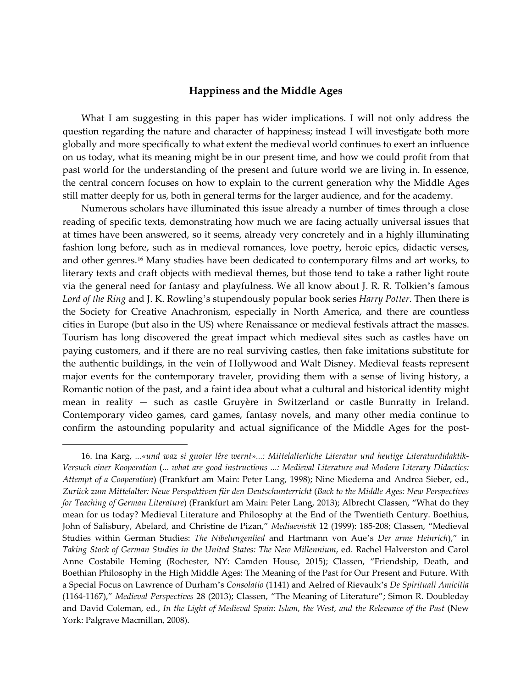#### **Happiness and the Middle Ages**

What I am suggesting in this paper has wider implications. I will not only address the question regarding the nature and character of happiness; instead I will investigate both more globally and more specifically to what extent the medieval world continues to exert an influence on us today, what its meaning might be in our present time, and how we could profit from that past world for the understanding of the present and future world we are living in. In essence, the central concern focuses on how to explain to the current generation why the Middle Ages still matter deeply for us, both in general terms for the larger audience, and for the academy.

Numerous scholars have illuminated this issue already a number of times through a close reading of specific texts, demonstrating how much we are facing actually universal issues that at times have been answered, so it seems, already very concretely and in a highly illuminating fashion long before, such as in medieval romances, love poetry, heroic epics, didactic verses, and other genres.[16](#page-6-0) Many studies have been dedicated to contemporary films and art works, to literary texts and craft objects with medieval themes, but those tend to take a rather light route via the general need for fantasy and playfulness. We all know about J. R. R. Tolkien's famous *Lord of the Ring* and J. K. Rowling's stupendously popular book series *Harry Potter*. Then there is the Society for Creative Anachronism, especially in North America, and there are countless cities in Europe (but also in the US) where Renaissance or medieval festivals attract the masses. Tourism has long discovered the great impact which medieval sites such as castles have on paying customers, and if there are no real surviving castles, then fake imitations substitute for the authentic buildings, in the vein of Hollywood and Walt Disney. Medieval feasts represent major events for the contemporary traveler, providing them with a sense of living history, a Romantic notion of the past, and a faint idea about what a cultural and historical identity might mean in reality — such as castle Gruyère in Switzerland or castle Bunratty in Ireland. Contemporary video games, card games, fantasy novels, and many other media continue to confirm the astounding popularity and actual significance of the Middle Ages for the post-

<span id="page-6-0"></span><sup>16.</sup> Ina Karg, *...«und waz si guoter lêre wernt»...: Mittelalterliche Literatur und heutige Literaturdidaktik-Versuch einer Kooperation* (*... what are good instructions ...: Medieval Literature and Modern Literary Didactics: Attempt of a Cooperation*) (Frankfurt am Main: Peter Lang, 1998); Nine Miedema and Andrea Sieber, ed., *Zurück zum Mittelalter: Neue Perspektiven für den Deutschunterricht* (*Back to the Middle Ages: New Perspectives for Teaching of German Literature*) (Frankfurt am Main: Peter Lang, 2013); Albrecht Classen, "What do they mean for us today? Medieval Literature and Philosophy at the End of the Twentieth Century. Boethius, John of Salisbury, Abelard, and Christine de Pizan," *Mediaevistik* 12 (1999): 185-208; Classen, "Medieval Studies within German Studies: *The Nibelungenlied* and Hartmann von Aue's *Der arme Heinrich*)," in *Taking Stock of German Studies in the United States: The New Millennium*, ed. Rachel Halverston and Carol Anne Costabile Heming (Rochester, NY: Camden House, 2015); Classen, "Friendship, Death, and Boethian Philosophy in the High Middle Ages: The Meaning of the Past for Our Present and Future. With a Special Focus on Lawrence of Durham's *Consolatio* (1141) and Aelred of Rievaulx's *De Spirituali Amicitia* (1164-1167)," *Medieval Perspectives* 28 (2013); Classen, "The Meaning of Literature"; Simon R. Doubleday and David Coleman, ed., *In the Light of Medieval Spain: Islam, the West, and the Relevance of the Past* (New York: Palgrave Macmillan, 2008).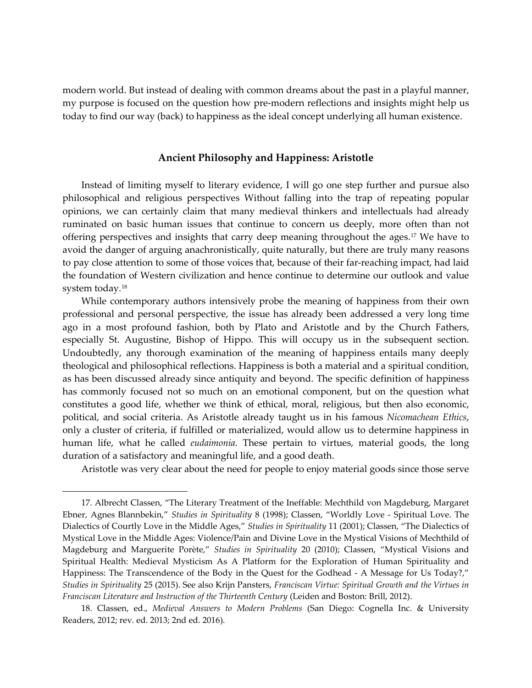modern world. But instead of dealing with common dreams about the past in a playful manner, my purpose is focused on the question how pre-modern reflections and insights might help us today to find our way (back) to happiness as the ideal concept underlying all human existence.

# **Ancient Philosophy and Happiness: Aristotle**

Instead of limiting myself to literary evidence, I will go one step further and pursue also philosophical and religious perspectives Without falling into the trap of repeating popular opinions, we can certainly claim that many medieval thinkers and intellectuals had already ruminated on basic human issues that continue to concern us deeply, more often than not offering perspectives and insights that carry deep meaning throughout the ages.[17](#page-7-0) We have to avoid the danger of arguing anachronistically, quite naturally, but there are truly many reasons to pay close attention to some of those voices that, because of their far-reaching impact, had laid the foundation of Western civilization and hence continue to determine our outlook and value system today.[18](#page-7-1)

While contemporary authors intensively probe the meaning of happiness from their own professional and personal perspective, the issue has already been addressed a very long time ago in a most profound fashion, both by Plato and Aristotle and by the Church Fathers, especially St. Augustine, Bishop of Hippo. This will occupy us in the subsequent section. Undoubtedly, any thorough examination of the meaning of happiness entails many deeply theological and philosophical reflections. Happiness is both a material and a spiritual condition, as has been discussed already since antiquity and beyond. The specific definition of happiness has commonly focused not so much on an emotional component, but on the question what constitutes a good life, whether we think of ethical, moral, religious, but then also economic, political, and social criteria. As Aristotle already taught us in his famous *Nicomachean Ethics*, only a cluster of criteria, if fulfilled or materialized, would allow us to determine happiness in human life, what he called *eudaimonia*. These pertain to virtues, material goods, the long duration of a satisfactory and meaningful life, and a good death.

Aristotle was very clear about the need for people to enjoy material goods since those serve

<span id="page-7-0"></span><sup>17.</sup> Albrecht Classen, "The Literary Treatment of the Ineffable: Mechthild von Magdeburg, Margaret Ebner, Agnes Blannbekin," *Studies in Spirituality* 8 (1998); Classen, "Worldly Love - Spiritual Love. The Dialectics of Courtly Love in the Middle Ages," *Studies in Spirituality* 11 (2001); Classen, "The Dialectics of Mystical Love in the Middle Ages: Violence/Pain and Divine Love in the Mystical Visions of Mechthild of Magdeburg and Marguerite Porète," *Studies in Spirituality* 20 (2010); Classen, "Mystical Visions and Spiritual Health: Medieval Mysticism As A Platform for the Exploration of Human Spirituality and Happiness: The Transcendence of the Body in the Quest for the Godhead - A Message for Us Today?," *Studies in Spirituality* 25 (2015). See also Krijn Pansters, *Franciscan Virtue: Spiritual Growth and the Virtues in Franciscan Literature and Instruction of the Thirteenth Century* (Leiden and Boston: Brill, 2012).

<span id="page-7-1"></span><sup>18.</sup> Classen, ed., *Medieval Answers to Modern Problems* (San Diego: Cognella Inc. & University Readers, 2012; rev. ed. 2013; 2nd ed. 2016).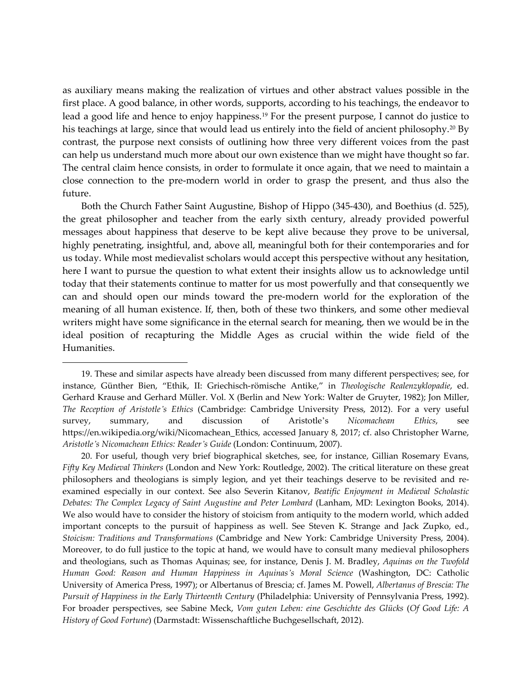as auxiliary means making the realization of virtues and other abstract values possible in the first place. A good balance, in other words, supports, according to his teachings, the endeavor to lead a good life and hence to enjoy happiness.[19](#page-8-0) For the present purpose, I cannot do justice to his teachings at large, since that would lead us entirely into the field of ancient philosophy.<sup>[20](#page-8-1)</sup> By contrast, the purpose next consists of outlining how three very different voices from the past can help us understand much more about our own existence than we might have thought so far. The central claim hence consists, in order to formulate it once again, that we need to maintain a close connection to the pre-modern world in order to grasp the present, and thus also the future.

Both the Church Father Saint Augustine, Bishop of Hippo (345-430), and Boethius (d. 525), the great philosopher and teacher from the early sixth century, already provided powerful messages about happiness that deserve to be kept alive because they prove to be universal, highly penetrating, insightful, and, above all, meaningful both for their contemporaries and for us today. While most medievalist scholars would accept this perspective without any hesitation, here I want to pursue the question to what extent their insights allow us to acknowledge until today that their statements continue to matter for us most powerfully and that consequently we can and should open our minds toward the pre-modern world for the exploration of the meaning of all human existence. If, then, both of these two thinkers, and some other medieval writers might have some significance in the eternal search for meaning, then we would be in the ideal position of recapturing the Middle Ages as crucial within the wide field of the Humanities.

<span id="page-8-0"></span><sup>19.</sup> These and similar aspects have already been discussed from many different perspectives; see, for instance, Günther Bien, "Ethik, II: Griechisch-römische Antike," in *Theologische Realenzyklopadie*, ed. Gerhard Krause and Gerhard Müller. Vol. X (Berlin and New York: Walter de Gruyter, 1982); Jon Miller, *The Reception of Aristotle's Ethics* (Cambridge: Cambridge University Press, 2012). For a very useful survey, summary, and discussion of Aristotle's *Nicomachean Ethics*, see https://en.wikipedia.org/wiki/Nicomachean\_Ethics, accessed January 8, 2017; cf. also Christopher Warne, *Aristotle's Nicomachean Ethics: Reader's Guide* (London: Continuum, 2007).

<span id="page-8-1"></span><sup>20.</sup> For useful, though very brief biographical sketches, see, for instance, Gillian Rosemary Evans, *Fifty Key Medieval Thinkers* (London and New York: Routledge, 2002). The critical literature on these great philosophers and theologians is simply legion, and yet their teachings deserve to be revisited and reexamined especially in our context. See also Severin Kitanov, *Beatific Enjoyment in Medieval Scholastic Debates: The Complex Legacy of Saint Augustine and Peter Lombard* (Lanham, MD: Lexington Books, 2014). We also would have to consider the history of stoicism from antiquity to the modern world, which added important concepts to the pursuit of happiness as well. See Steven K. Strange and Jack Zupko, ed., *Stoicism: Traditions and Transformations* (Cambridge and New York: Cambridge University Press, 2004). Moreover, to do full justice to the topic at hand, we would have to consult many medieval philosophers and theologians, such as Thomas Aquinas; see, for instance, Denis J. M. Bradley, *Aquinas on the Twofold Human Good: Reason and Human Happiness in Aquinas's Moral Science* (Washington, DC: Catholic University of America Press, 1997); or Albertanus of Brescia; cf. James M. Powell, *Albertanus of Brescia: The Pursuit of Happiness in the Early Thirteenth Century* (Philadelphia: University of Pennsylvania Press, 1992). For broader perspectives, see Sabine Meck, *Vom guten Leben: eine Geschichte des Glücks* (*Of Good Life: A History of Good Fortune*) (Darmstadt: Wissenschaftliche Buchgesellschaft, 2012).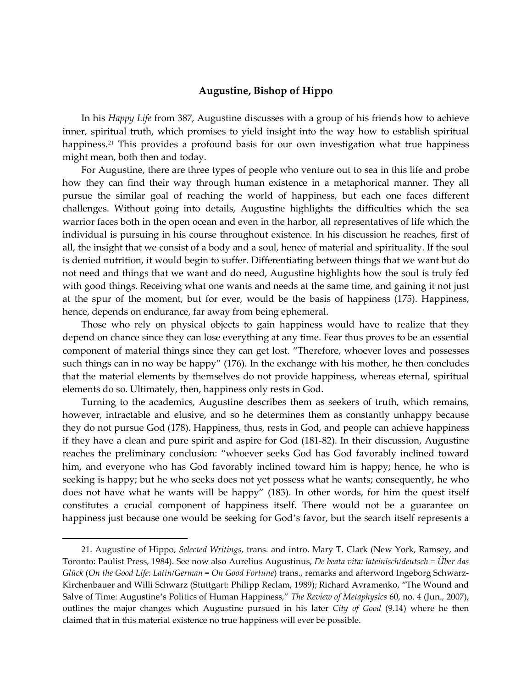## **Augustine, Bishop of Hippo**

In his *Happy Life* from 387, Augustine discusses with a group of his friends how to achieve inner, spiritual truth, which promises to yield insight into the way how to establish spiritual happiness.<sup>[21](#page-9-0)</sup> This provides a profound basis for our own investigation what true happiness might mean, both then and today.

For Augustine, there are three types of people who venture out to sea in this life and probe how they can find their way through human existence in a metaphorical manner. They all pursue the similar goal of reaching the world of happiness, but each one faces different challenges. Without going into details, Augustine highlights the difficulties which the sea warrior faces both in the open ocean and even in the harbor, all representatives of life which the individual is pursuing in his course throughout existence. In his discussion he reaches, first of all, the insight that we consist of a body and a soul, hence of material and spirituality. If the soul is denied nutrition, it would begin to suffer. Differentiating between things that we want but do not need and things that we want and do need, Augustine highlights how the soul is truly fed with good things. Receiving what one wants and needs at the same time, and gaining it not just at the spur of the moment, but for ever, would be the basis of happiness (175). Happiness, hence, depends on endurance, far away from being ephemeral.

Those who rely on physical objects to gain happiness would have to realize that they depend on chance since they can lose everything at any time. Fear thus proves to be an essential component of material things since they can get lost. "Therefore, whoever loves and possesses such things can in no way be happy" (176). In the exchange with his mother, he then concludes that the material elements by themselves do not provide happiness, whereas eternal, spiritual elements do so. Ultimately, then, happiness only rests in God.

Turning to the academics, Augustine describes them as seekers of truth, which remains, however, intractable and elusive, and so he determines them as constantly unhappy because they do not pursue God (178). Happiness, thus, rests in God, and people can achieve happiness if they have a clean and pure spirit and aspire for God (181-82). In their discussion, Augustine reaches the preliminary conclusion: "whoever seeks God has God favorably inclined toward him, and everyone who has God favorably inclined toward him is happy; hence, he who is seeking is happy; but he who seeks does not yet possess what he wants; consequently, he who does not have what he wants will be happy" (183). In other words, for him the quest itself constitutes a crucial component of happiness itself. There would not be a guarantee on happiness just because one would be seeking for God's favor, but the search itself represents a

<span id="page-9-0"></span><sup>21.</sup> Augustine of Hippo, *Selected Writings*, trans. and intro. Mary T. Clark (New York, Ramsey, and Toronto: Paulist Press, 1984). See now also Aurelius Augustinus, *De beata vita: lateinisch/deutsch = Über das Glück* (*On the Good Life: Latin/German = On Good Fortune*) trans., remarks and afterword Ingeborg Schwarz-Kirchenbauer and Willi Schwarz (Stuttgart: Philipp Reclam, 1989); Richard Avramenko, "The Wound and Salve of Time: Augustine's Politics of Human Happiness," *The Review of Metaphysics* 60, no. 4 (Jun., 2007), outlines the major changes which Augustine pursued in his later *City of Good* (9.14) where he then claimed that in this material existence no true happiness will ever be possible.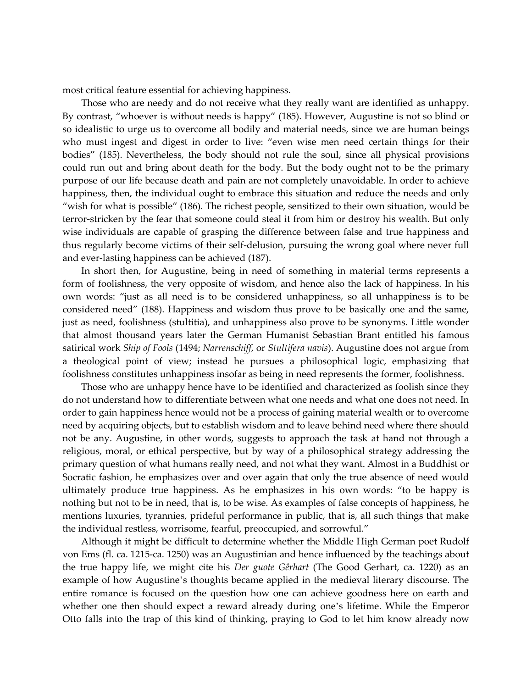most critical feature essential for achieving happiness.

Those who are needy and do not receive what they really want are identified as unhappy. By contrast, "whoever is without needs is happy" (185). However, Augustine is not so blind or so idealistic to urge us to overcome all bodily and material needs, since we are human beings who must ingest and digest in order to live: "even wise men need certain things for their bodies" (185). Nevertheless, the body should not rule the soul, since all physical provisions could run out and bring about death for the body. But the body ought not to be the primary purpose of our life because death and pain are not completely unavoidable. In order to achieve happiness, then, the individual ought to embrace this situation and reduce the needs and only "wish for what is possible" (186). The richest people, sensitized to their own situation, would be terror-stricken by the fear that someone could steal it from him or destroy his wealth. But only wise individuals are capable of grasping the difference between false and true happiness and thus regularly become victims of their self-delusion, pursuing the wrong goal where never full and ever-lasting happiness can be achieved (187).

In short then, for Augustine, being in need of something in material terms represents a form of foolishness, the very opposite of wisdom, and hence also the lack of happiness. In his own words: "just as all need is to be considered unhappiness, so all unhappiness is to be considered need" (188). Happiness and wisdom thus prove to be basically one and the same, just as need, foolishness (stultitia), and unhappiness also prove to be synonyms. Little wonder that almost thousand years later the German Humanist Sebastian Brant entitled his famous satirical work *Ship of Fools* (1494; *Narrenschiff*, or *Stultifera navis*). Augustine does not argue from a theological point of view; instead he pursues a philosophical logic, emphasizing that foolishness constitutes unhappiness insofar as being in need represents the former, foolishness.

Those who are unhappy hence have to be identified and characterized as foolish since they do not understand how to differentiate between what one needs and what one does not need. In order to gain happiness hence would not be a process of gaining material wealth or to overcome need by acquiring objects, but to establish wisdom and to leave behind need where there should not be any. Augustine, in other words, suggests to approach the task at hand not through a religious, moral, or ethical perspective, but by way of a philosophical strategy addressing the primary question of what humans really need, and not what they want. Almost in a Buddhist or Socratic fashion, he emphasizes over and over again that only the true absence of need would ultimately produce true happiness. As he emphasizes in his own words: "to be happy is nothing but not to be in need, that is, to be wise. As examples of false concepts of happiness, he mentions luxuries, tyrannies, prideful performance in public, that is, all such things that make the individual restless, worrisome, fearful, preoccupied, and sorrowful."

Although it might be difficult to determine whether the Middle High German poet Rudolf von Ems (fl. ca. 1215-ca. 1250) was an Augustinian and hence influenced by the teachings about the true happy life, we might cite his *Der guote Gêrhart* (The Good Gerhart, ca. 1220) as an example of how Augustine's thoughts became applied in the medieval literary discourse. The entire romance is focused on the question how one can achieve goodness here on earth and whether one then should expect a reward already during one's lifetime. While the Emperor Otto falls into the trap of this kind of thinking, praying to God to let him know already now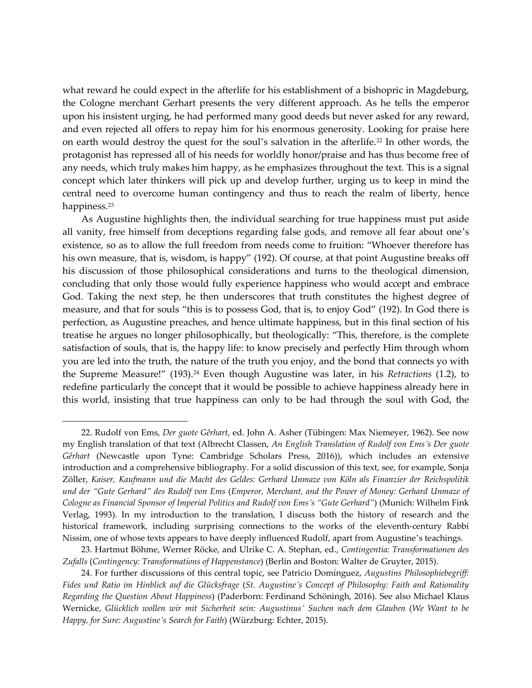what reward he could expect in the afterlife for his establishment of a bishopric in Magdeburg, the Cologne merchant Gerhart presents the very different approach. As he tells the emperor upon his insistent urging, he had performed many good deeds but never asked for any reward, and even rejected all offers to repay him for his enormous generosity. Looking for praise here on earth would destroy the quest for the soul's salvation in the afterlife.[22](#page-11-0) In other words, the protagonist has repressed all of his needs for worldly honor/praise and has thus become free of any needs, which truly makes him happy, as he emphasizes throughout the text. This is a signal concept which later thinkers will pick up and develop further, urging us to keep in mind the central need to overcome human contingency and thus to reach the realm of liberty, hence happiness.<sup>[23](#page-11-1)</sup>

As Augustine highlights then, the individual searching for true happiness must put aside all vanity, free himself from deceptions regarding false gods, and remove all fear about one's existence, so as to allow the full freedom from needs come to fruition: "Whoever therefore has his own measure, that is, wisdom, is happy" (192). Of course, at that point Augustine breaks off his discussion of those philosophical considerations and turns to the theological dimension, concluding that only those would fully experience happiness who would accept and embrace God. Taking the next step, he then underscores that truth constitutes the highest degree of measure, and that for souls "this is to possess God, that is, to enjoy God" (192). In God there is perfection, as Augustine preaches, and hence ultimate happiness, but in this final section of his treatise he argues no longer philosophically, but theologically: "This, therefore, is the complete satisfaction of souls, that is, the happy life: to know precisely and perfectly Him through whom you are led into the truth, the nature of the truth you enjoy, and the bond that connects yo with the Supreme Measure!" (193).[24](#page-11-2) Even though Augustine was later, in his *Retractions* (1.2), to redefine particularly the concept that it would be possible to achieve happiness already here in this world, insisting that true happiness can only to be had through the soul with God, the

<span id="page-11-0"></span><sup>22.</sup> Rudolf von Ems, *Der guote Gêrhart*, ed. John A. Asher (Tübingen: Max Niemeyer, 1962). See now my English translation of that text (Albrecht Classen, *An English Translation of Rudolf von Ems's Der guote Gêrhart* (Newcastle upon Tyne: Cambridge Scholars Press, 2016)), which includes an extensive introduction and a comprehensive bibliography. For a solid discussion of this text, see, for example, Sonja Zöller, *Kaiser, Kaufmann und die Macht des Geldes: Gerhard Unmaze von Köln als Finanzier der Reichspolitik und der "Gute Gerhard" des Rudolf von Ems* (*Emperor, Merchant, and the Power of Money: Gerhard Unmaze of Cologne as Financial Sponsor of Imperial Politics and Rudolf von Ems's "Gute Gerhard"*) (Munich: Wilhelm Fink Verlag, 1993). In my introduction to the translation, I discuss both the history of research and the historical framework, including surprising connections to the works of the eleventh-century Rabbi Nissim, one of whose texts appears to have deeply influenced Rudolf, apart from Augustine's teachings.

<span id="page-11-1"></span><sup>23.</sup> Hartmut Böhme, Werner Röcke, and Ulrike C. A. Stephan, ed., *Contingentia: Transformationen des Zufalls* (*Contingency: Transformations of Happenstance*) (Berlin and Boston: Walter de Gruyter, 2015).

<span id="page-11-2"></span><sup>24.</sup> For further discussions of this central topic, see Patricio Domínguez, *Augustins Philosophiebegriff: Fides und Ratio im Hinblick auf die Glücksfrage* (*St. Augustine's Concept of Philosophy: Faith and Rationality Regarding the Question About Happiness*) (Paderborn: Ferdinand Schöningh, 2016). See also Michael Klaus Wernicke, *Glücklich wollen wir mit Sicherheit sein: Augustinus' Suchen nach dem Glauben* (*We Want to be Happy, for Sure: Augustine's Search for Faith*) (Würzburg: Echter, 2015).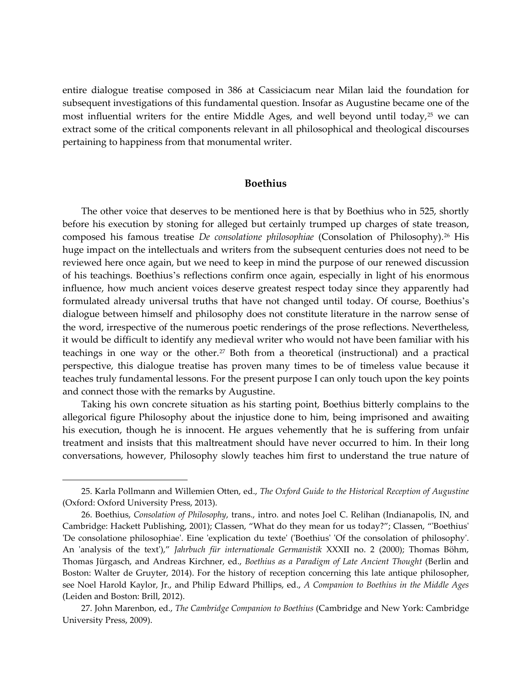entire dialogue treatise composed in 386 at Cassiciacum near Milan laid the foundation for subsequent investigations of this fundamental question. Insofar as Augustine became one of the most influential writers for the entire Middle Ages, and well beyond until today, $2^5$  we can extract some of the critical components relevant in all philosophical and theological discourses pertaining to happiness from that monumental writer.

#### **Boethius**

The other voice that deserves to be mentioned here is that by Boethius who in 525, shortly before his execution by stoning for alleged but certainly trumped up charges of state treason, composed his famous treatise *De consolatione philosophiae* (Consolation of Philosophy).<sup>[26](#page-12-1)</sup> His huge impact on the intellectuals and writers from the subsequent centuries does not need to be reviewed here once again, but we need to keep in mind the purpose of our renewed discussion of his teachings. Boethius's reflections confirm once again, especially in light of his enormous influence, how much ancient voices deserve greatest respect today since they apparently had formulated already universal truths that have not changed until today. Of course, Boethius's dialogue between himself and philosophy does not constitute literature in the narrow sense of the word, irrespective of the numerous poetic renderings of the prose reflections. Nevertheless, it would be difficult to identify any medieval writer who would not have been familiar with his teachings in one way or the other.<sup>[27](#page-12-2)</sup> Both from a theoretical (instructional) and a practical perspective, this dialogue treatise has proven many times to be of timeless value because it teaches truly fundamental lessons. For the present purpose I can only touch upon the key points and connect those with the remarks by Augustine.

Taking his own concrete situation as his starting point, Boethius bitterly complains to the allegorical figure Philosophy about the injustice done to him, being imprisoned and awaiting his execution, though he is innocent. He argues vehemently that he is suffering from unfair treatment and insists that this maltreatment should have never occurred to him. In their long conversations, however, Philosophy slowly teaches him first to understand the true nature of

<span id="page-12-0"></span><sup>25.</sup> Karla Pollmann and Willemien Otten, ed., *The Oxford Guide to the Historical Reception of Augustine* (Oxford: Oxford University Press, 2013).

<span id="page-12-1"></span><sup>26.</sup> Boethius, *Consolation of Philosophy*, trans., intro. and notes Joel C. Relihan (Indianapolis, IN, and Cambridge: Hackett Publishing, 2001); Classen, "What do they mean for us today?"; Classen, "'Boethius' 'De consolatione philosophiae'. Eine 'explication du texte' ('Boethius' 'Of the consolation of philosophy'. An 'analysis of the text')," *Jahrbuch für internationale Germanistik* XXXII no. 2 (2000); Thomas Böhm, Thomas Jürgasch, and Andreas Kirchner, ed., *Boethius as a Paradigm of Late Ancient Thought* (Berlin and Boston: Walter de Gruyter, 2014). For the history of reception concerning this late antique philosopher, see Noel Harold Kaylor, Jr., and Philip Edward Phillips, ed., *A Companion to Boethius in the Middle Ages* (Leiden and Boston: Brill, 2012).

<span id="page-12-2"></span><sup>27.</sup> John Marenbon, ed., *The Cambridge Companion to Boethius* (Cambridge and New York: Cambridge University Press, 2009).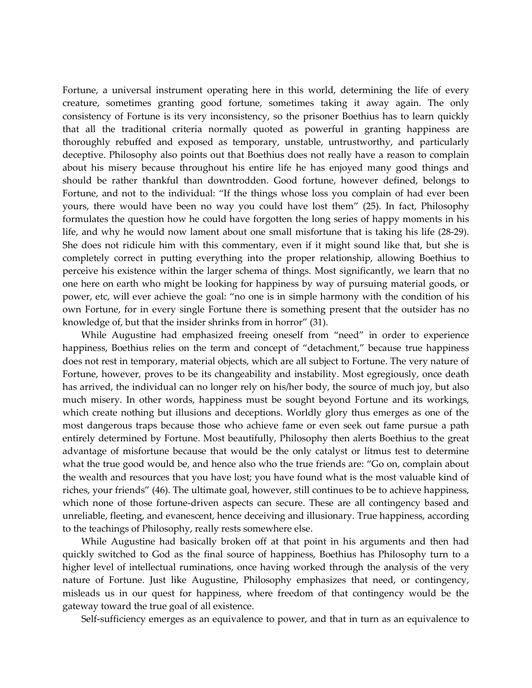Fortune, a universal instrument operating here in this world, determining the life of every creature, sometimes granting good fortune, sometimes taking it away again. The only consistency of Fortune is its very inconsistency, so the prisoner Boethius has to learn quickly that all the traditional criteria normally quoted as powerful in granting happiness are thoroughly rebuffed and exposed as temporary, unstable, untrustworthy, and particularly deceptive. Philosophy also points out that Boethius does not really have a reason to complain about his misery because throughout his entire life he has enjoyed many good things and should be rather thankful than downtrodden. Good fortune, however defined, belongs to Fortune, and not to the individual: "If the things whose loss you complain of had ever been yours, there would have been no way you could have lost them" (25). In fact, Philosophy formulates the question how he could have forgotten the long series of happy moments in his life, and why he would now lament about one small misfortune that is taking his life (28-29). She does not ridicule him with this commentary, even if it might sound like that, but she is completely correct in putting everything into the proper relationship, allowing Boethius to perceive his existence within the larger schema of things. Most significantly, we learn that no one here on earth who might be looking for happiness by way of pursuing material goods, or power, etc, will ever achieve the goal: "no one is in simple harmony with the condition of his own Fortune, for in every single Fortune there is something present that the outsider has no knowledge of, but that the insider shrinks from in horror" (31).

While Augustine had emphasized freeing oneself from "need" in order to experience happiness, Boethius relies on the term and concept of "detachment," because true happiness does not rest in temporary, material objects, which are all subject to Fortune. The very nature of Fortune, however, proves to be its changeability and instability. Most egregiously, once death has arrived, the individual can no longer rely on his/her body, the source of much joy, but also much misery. In other words, happiness must be sought beyond Fortune and its workings, which create nothing but illusions and deceptions. Worldly glory thus emerges as one of the most dangerous traps because those who achieve fame or even seek out fame pursue a path entirely determined by Fortune. Most beautifully, Philosophy then alerts Boethius to the great advantage of misfortune because that would be the only catalyst or litmus test to determine what the true good would be, and hence also who the true friends are: "Go on, complain about the wealth and resources that you have lost; you have found what is the most valuable kind of riches, your friends" (46). The ultimate goal, however, still continues to be to achieve happiness, which none of those fortune-driven aspects can secure. These are all contingency based and unreliable, fleeting, and evanescent, hence deceiving and illusionary. True happiness, according to the teachings of Philosophy, really rests somewhere else.

While Augustine had basically broken off at that point in his arguments and then had quickly switched to God as the final source of happiness, Boethius has Philosophy turn to a higher level of intellectual ruminations, once having worked through the analysis of the very nature of Fortune. Just like Augustine, Philosophy emphasizes that need, or contingency, misleads us in our quest for happiness, where freedom of that contingency would be the gateway toward the true goal of all existence.

Self-sufficiency emerges as an equivalence to power, and that in turn as an equivalence to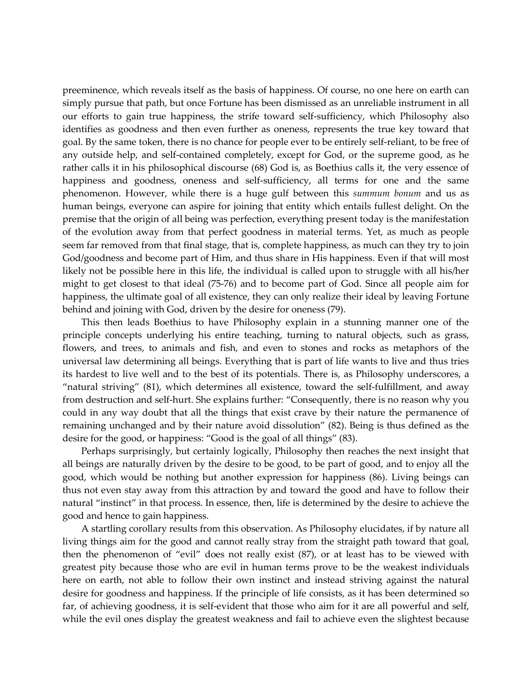preeminence, which reveals itself as the basis of happiness. Of course, no one here on earth can simply pursue that path, but once Fortune has been dismissed as an unreliable instrument in all our efforts to gain true happiness, the strife toward self-sufficiency, which Philosophy also identifies as goodness and then even further as oneness, represents the true key toward that goal. By the same token, there is no chance for people ever to be entirely self-reliant, to be free of any outside help, and self-contained completely, except for God, or the supreme good, as he rather calls it in his philosophical discourse (68) God is, as Boethius calls it, the very essence of happiness and goodness, oneness and self-sufficiency, all terms for one and the same phenomenon. However, while there is a huge gulf between this *summum bonum* and us as human beings, everyone can aspire for joining that entity which entails fullest delight. On the premise that the origin of all being was perfection, everything present today is the manifestation of the evolution away from that perfect goodness in material terms. Yet, as much as people seem far removed from that final stage, that is, complete happiness, as much can they try to join God/goodness and become part of Him, and thus share in His happiness. Even if that will most likely not be possible here in this life, the individual is called upon to struggle with all his/her might to get closest to that ideal (75-76) and to become part of God. Since all people aim for happiness, the ultimate goal of all existence, they can only realize their ideal by leaving Fortune behind and joining with God, driven by the desire for oneness (79).

This then leads Boethius to have Philosophy explain in a stunning manner one of the principle concepts underlying his entire teaching, turning to natural objects, such as grass, flowers, and trees, to animals and fish, and even to stones and rocks as metaphors of the universal law determining all beings. Everything that is part of life wants to live and thus tries its hardest to live well and to the best of its potentials. There is, as Philosophy underscores, a "natural striving" (81), which determines all existence, toward the self-fulfillment, and away from destruction and self-hurt. She explains further: "Consequently, there is no reason why you could in any way doubt that all the things that exist crave by their nature the permanence of remaining unchanged and by their nature avoid dissolution" (82). Being is thus defined as the desire for the good, or happiness: "Good is the goal of all things" (83).

Perhaps surprisingly, but certainly logically, Philosophy then reaches the next insight that all beings are naturally driven by the desire to be good, to be part of good, and to enjoy all the good, which would be nothing but another expression for happiness (86). Living beings can thus not even stay away from this attraction by and toward the good and have to follow their natural "instinct" in that process. In essence, then, life is determined by the desire to achieve the good and hence to gain happiness.

A startling corollary results from this observation. As Philosophy elucidates, if by nature all living things aim for the good and cannot really stray from the straight path toward that goal, then the phenomenon of "evil" does not really exist (87), or at least has to be viewed with greatest pity because those who are evil in human terms prove to be the weakest individuals here on earth, not able to follow their own instinct and instead striving against the natural desire for goodness and happiness. If the principle of life consists, as it has been determined so far, of achieving goodness, it is self-evident that those who aim for it are all powerful and self, while the evil ones display the greatest weakness and fail to achieve even the slightest because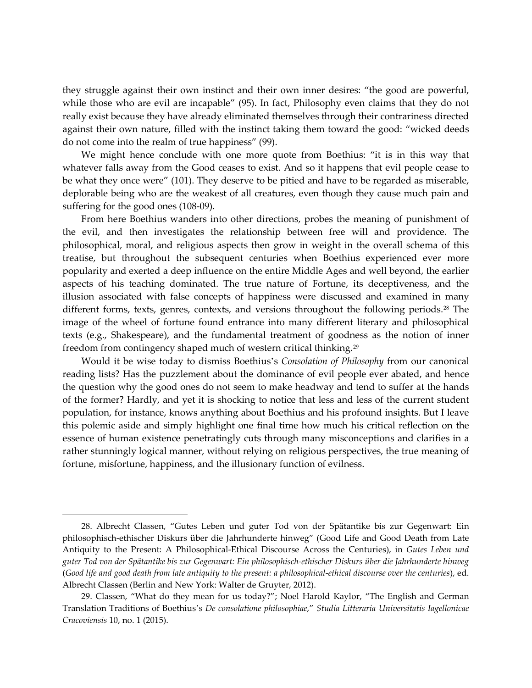they struggle against their own instinct and their own inner desires: "the good are powerful, while those who are evil are incapable" (95). In fact, Philosophy even claims that they do not really exist because they have already eliminated themselves through their contrariness directed against their own nature, filled with the instinct taking them toward the good: "wicked deeds do not come into the realm of true happiness" (99).

We might hence conclude with one more quote from Boethius: "it is in this way that whatever falls away from the Good ceases to exist. And so it happens that evil people cease to be what they once were" (101). They deserve to be pitied and have to be regarded as miserable, deplorable being who are the weakest of all creatures, even though they cause much pain and suffering for the good ones (108-09).

From here Boethius wanders into other directions, probes the meaning of punishment of the evil, and then investigates the relationship between free will and providence. The philosophical, moral, and religious aspects then grow in weight in the overall schema of this treatise, but throughout the subsequent centuries when Boethius experienced ever more popularity and exerted a deep influence on the entire Middle Ages and well beyond, the earlier aspects of his teaching dominated. The true nature of Fortune, its deceptiveness, and the illusion associated with false concepts of happiness were discussed and examined in many different forms, texts, genres, contexts, and versions throughout the following periods.<sup>[28](#page-15-0)</sup> The image of the wheel of fortune found entrance into many different literary and philosophical texts (e.g., Shakespeare), and the fundamental treatment of goodness as the notion of inner freedom from contingency shaped much of western critical thinking.<sup>[29](#page-15-1)</sup>

Would it be wise today to dismiss Boethius's *Consolation of Philosophy* from our canonical reading lists? Has the puzzlement about the dominance of evil people ever abated, and hence the question why the good ones do not seem to make headway and tend to suffer at the hands of the former? Hardly, and yet it is shocking to notice that less and less of the current student population, for instance, knows anything about Boethius and his profound insights. But I leave this polemic aside and simply highlight one final time how much his critical reflection on the essence of human existence penetratingly cuts through many misconceptions and clarifies in a rather stunningly logical manner, without relying on religious perspectives, the true meaning of fortune, misfortune, happiness, and the illusionary function of evilness.

<span id="page-15-0"></span><sup>28.</sup> Albrecht Classen, "Gutes Leben und guter Tod von der Spätantike bis zur Gegenwart: Ein philosophisch-ethischer Diskurs über die Jahrhunderte hinweg" (Good Life and Good Death from Late Antiquity to the Present: A Philosophical-Ethical Discourse Across the Centuries), in *Gutes Leben und guter Tod von der Spätantike bis zur Gegenwart: Ein philosophisch-ethischer Diskurs über die Jahrhunderte hinweg* (*Good life and good death from late antiquity to the present: a philosophical-ethical discourse over the centuries*), ed. Albrecht Classen (Berlin and New York: Walter de Gruyter, 2012).

<span id="page-15-1"></span><sup>29.</sup> Classen, "What do they mean for us today?"; Noel Harold Kaylor, "The English and German Translation Traditions of Boethius's *De consolatione philosophiae*," *Studia Litteraria Universitatis Iagellonicae Cracoviensis* 10, no. 1 (2015).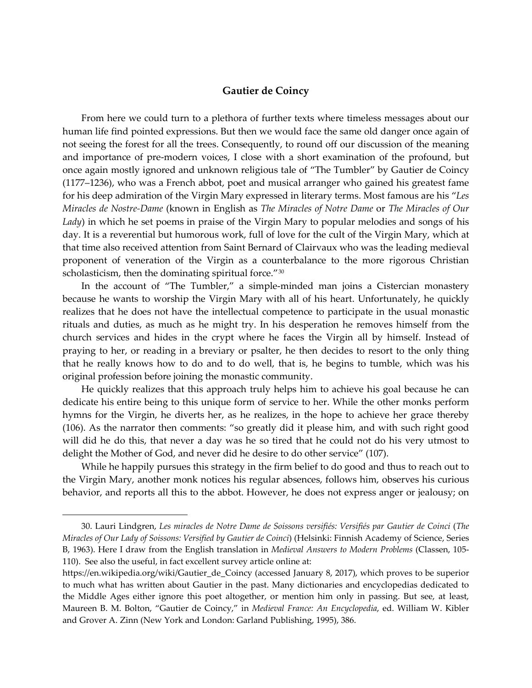# **Gautier de Coincy**

From here we could turn to a plethora of further texts where timeless messages about our human life find pointed expressions. But then we would face the same old danger once again of not seeing the forest for all the trees. Consequently, to round off our discussion of the meaning and importance of pre-modern voices, I close with a short examination of the profound, but once again mostly ignored and unknown religious tale of "The Tumbler" by Gautier de Coincy (1177–1236), who was a French abbot, poet and musical arranger who gained his greatest fame for his deep admiration of the Virgin Mary expressed in literary terms. Most famous are his "*Les Miracles de Nostre-Dame* (known in English as *The Miracles of Notre Dame* or *The Miracles of Our Lady*) in which he set poems in praise of the Virgin Mary to popular melodies and songs of his day. It is a reverential but humorous work, full of love for the cult of the Virgin Mary, which at that time also received attention from Saint Bernard of Clairvaux who was the leading medieval proponent of veneration of the Virgin as a counterbalance to the more rigorous Christian scholasticism, then the dominating spiritual force."<sup>[30](#page-16-0)</sup>

In the account of "The Tumbler," a simple-minded man joins a Cistercian monastery because he wants to worship the Virgin Mary with all of his heart. Unfortunately, he quickly realizes that he does not have the intellectual competence to participate in the usual monastic rituals and duties, as much as he might try. In his desperation he removes himself from the church services and hides in the crypt where he faces the Virgin all by himself. Instead of praying to her, or reading in a breviary or psalter, he then decides to resort to the only thing that he really knows how to do and to do well, that is, he begins to tumble, which was his original profession before joining the monastic community.

He quickly realizes that this approach truly helps him to achieve his goal because he can dedicate his entire being to this unique form of service to her. While the other monks perform hymns for the Virgin, he diverts her, as he realizes, in the hope to achieve her grace thereby (106). As the narrator then comments: "so greatly did it please him, and with such right good will did he do this, that never a day was he so tired that he could not do his very utmost to delight the Mother of God, and never did he desire to do other service" (107).

While he happily pursues this strategy in the firm belief to do good and thus to reach out to the Virgin Mary, another monk notices his regular absences, follows him, observes his curious behavior, and reports all this to the abbot. However, he does not express anger or jealousy; on

<span id="page-16-0"></span><sup>30.</sup> Lauri Lindgren, *Les miracles de Notre Dame de Soissons versifiés: Versifiés par Gautier de Coinci* (*The Miracles of Our Lady of Soissons: Versified by Gautier de Coinci*) (Helsinki: Finnish Academy of Science, Series B, 1963). Here I draw from the English translation in *Medieval Answers to Modern Problems* (Classen, 105- 110). See also the useful, in fact excellent survey article online at:

https://en.wikipedia.org/wiki/Gautier\_de\_Coincy (accessed January 8, 2017), which proves to be superior to much what has written about Gautier in the past. Many dictionaries and encyclopedias dedicated to the Middle Ages either ignore this poet altogether, or mention him only in passing. But see, at least, Maureen B. M. Bolton, "Gautier de Coincy," in *Medieval France: An Encyclopedia*, ed. William W. Kibler and Grover A. Zinn (New York and London: Garland Publishing, 1995), 386.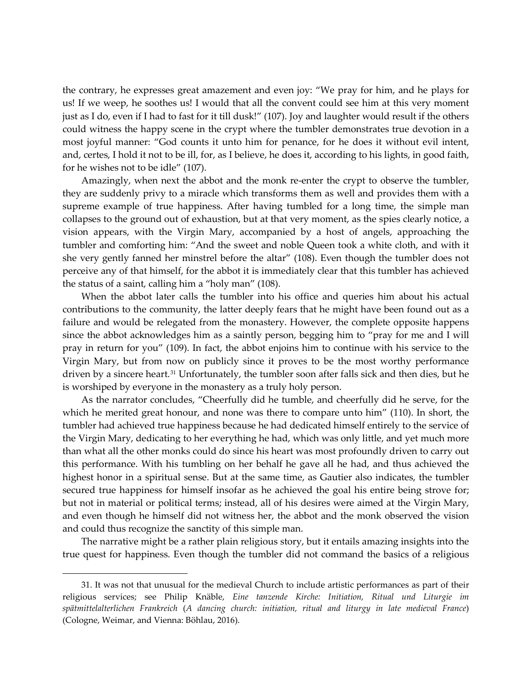the contrary, he expresses great amazement and even joy: "We pray for him, and he plays for us! If we weep, he soothes us! I would that all the convent could see him at this very moment just as I do, even if I had to fast for it till dusk!" (107). Joy and laughter would result if the others could witness the happy scene in the crypt where the tumbler demonstrates true devotion in a most joyful manner: "God counts it unto him for penance, for he does it without evil intent, and, certes, I hold it not to be ill, for, as I believe, he does it, according to his lights, in good faith, for he wishes not to be idle" (107).

Amazingly, when next the abbot and the monk re-enter the crypt to observe the tumbler, they are suddenly privy to a miracle which transforms them as well and provides them with a supreme example of true happiness. After having tumbled for a long time, the simple man collapses to the ground out of exhaustion, but at that very moment, as the spies clearly notice, a vision appears, with the Virgin Mary, accompanied by a host of angels, approaching the tumbler and comforting him: "And the sweet and noble Queen took a white cloth, and with it she very gently fanned her minstrel before the altar" (108). Even though the tumbler does not perceive any of that himself, for the abbot it is immediately clear that this tumbler has achieved the status of a saint, calling him a "holy man" (108).

When the abbot later calls the tumbler into his office and queries him about his actual contributions to the community, the latter deeply fears that he might have been found out as a failure and would be relegated from the monastery. However, the complete opposite happens since the abbot acknowledges him as a saintly person, begging him to "pray for me and I will pray in return for you" (109). In fact, the abbot enjoins him to continue with his service to the Virgin Mary, but from now on publicly since it proves to be the most worthy performance driven by a sincere heart.<sup>[31](#page-17-0)</sup> Unfortunately, the tumbler soon after falls sick and then dies, but he is worshiped by everyone in the monastery as a truly holy person.

As the narrator concludes, "Cheerfully did he tumble, and cheerfully did he serve, for the which he merited great honour, and none was there to compare unto him" (110). In short, the tumbler had achieved true happiness because he had dedicated himself entirely to the service of the Virgin Mary, dedicating to her everything he had, which was only little, and yet much more than what all the other monks could do since his heart was most profoundly driven to carry out this performance. With his tumbling on her behalf he gave all he had, and thus achieved the highest honor in a spiritual sense. But at the same time, as Gautier also indicates, the tumbler secured true happiness for himself insofar as he achieved the goal his entire being strove for; but not in material or political terms; instead, all of his desires were aimed at the Virgin Mary, and even though he himself did not witness her, the abbot and the monk observed the vision and could thus recognize the sanctity of this simple man.

The narrative might be a rather plain religious story, but it entails amazing insights into the true quest for happiness. Even though the tumbler did not command the basics of a religious

<span id="page-17-0"></span><sup>31.</sup> It was not that unusual for the medieval Church to include artistic performances as part of their religious services; see Philip Knäble, *Eine tanzende Kirche: Initiation, Ritual und Liturgie im spätmittelalterlichen Frankreich* (*A dancing church: initiation, ritual and liturgy in late medieval France*) (Cologne, Weimar, and Vienna: Böhlau, 2016).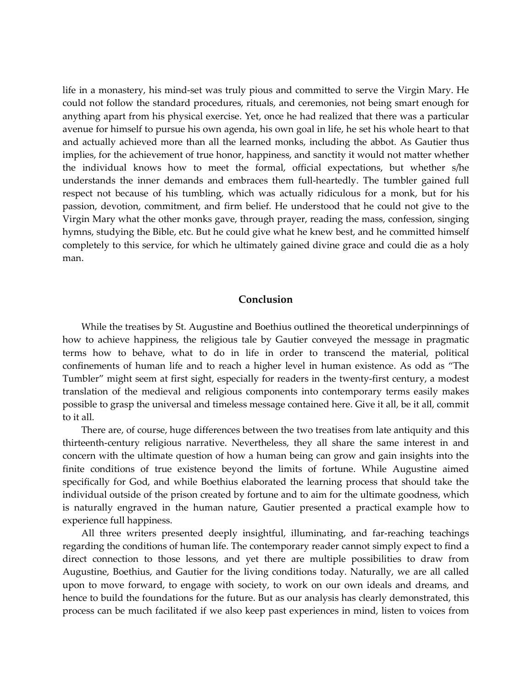life in a monastery, his mind-set was truly pious and committed to serve the Virgin Mary. He could not follow the standard procedures, rituals, and ceremonies, not being smart enough for anything apart from his physical exercise. Yet, once he had realized that there was a particular avenue for himself to pursue his own agenda, his own goal in life, he set his whole heart to that and actually achieved more than all the learned monks, including the abbot. As Gautier thus implies, for the achievement of true honor, happiness, and sanctity it would not matter whether the individual knows how to meet the formal, official expectations, but whether s/he understands the inner demands and embraces them full-heartedly. The tumbler gained full respect not because of his tumbling, which was actually ridiculous for a monk, but for his passion, devotion, commitment, and firm belief. He understood that he could not give to the Virgin Mary what the other monks gave, through prayer, reading the mass, confession, singing hymns, studying the Bible, etc. But he could give what he knew best, and he committed himself completely to this service, for which he ultimately gained divine grace and could die as a holy man.

#### **Conclusion**

While the treatises by St. Augustine and Boethius outlined the theoretical underpinnings of how to achieve happiness, the religious tale by Gautier conveyed the message in pragmatic terms how to behave, what to do in life in order to transcend the material, political confinements of human life and to reach a higher level in human existence. As odd as "The Tumbler" might seem at first sight, especially for readers in the twenty-first century, a modest translation of the medieval and religious components into contemporary terms easily makes possible to grasp the universal and timeless message contained here. Give it all, be it all, commit to it all.

There are, of course, huge differences between the two treatises from late antiquity and this thirteenth-century religious narrative. Nevertheless, they all share the same interest in and concern with the ultimate question of how a human being can grow and gain insights into the finite conditions of true existence beyond the limits of fortune. While Augustine aimed specifically for God, and while Boethius elaborated the learning process that should take the individual outside of the prison created by fortune and to aim for the ultimate goodness, which is naturally engraved in the human nature, Gautier presented a practical example how to experience full happiness.

All three writers presented deeply insightful, illuminating, and far-reaching teachings regarding the conditions of human life. The contemporary reader cannot simply expect to find a direct connection to those lessons, and yet there are multiple possibilities to draw from Augustine, Boethius, and Gautier for the living conditions today. Naturally, we are all called upon to move forward, to engage with society, to work on our own ideals and dreams, and hence to build the foundations for the future. But as our analysis has clearly demonstrated, this process can be much facilitated if we also keep past experiences in mind, listen to voices from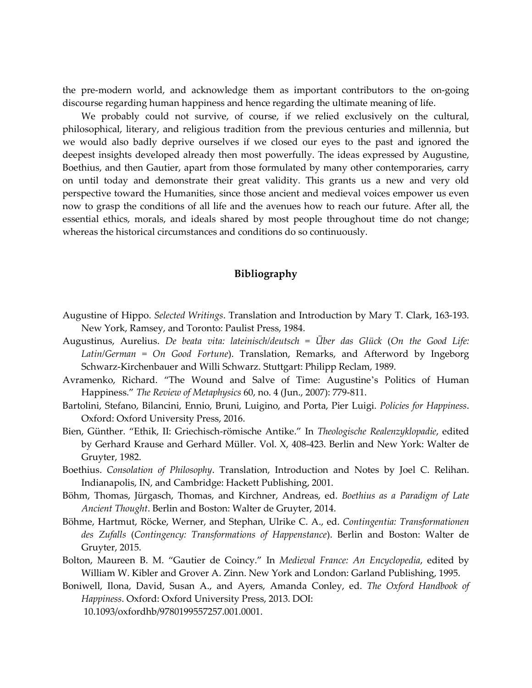the pre-modern world, and acknowledge them as important contributors to the on-going discourse regarding human happiness and hence regarding the ultimate meaning of life.

We probably could not survive, of course, if we relied exclusively on the cultural, philosophical, literary, and religious tradition from the previous centuries and millennia, but we would also badly deprive ourselves if we closed our eyes to the past and ignored the deepest insights developed already then most powerfully. The ideas expressed by Augustine, Boethius, and then Gautier, apart from those formulated by many other contemporaries, carry on until today and demonstrate their great validity. This grants us a new and very old perspective toward the Humanities, since those ancient and medieval voices empower us even now to grasp the conditions of all life and the avenues how to reach our future. After all, the essential ethics, morals, and ideals shared by most people throughout time do not change; whereas the historical circumstances and conditions do so continuously.

# **Bibliography**

- Augustine of Hippo. *Selected Writings*. Translation and Introduction by Mary T. Clark, 163-193. New York, Ramsey, and Toronto: Paulist Press, 1984.
- Augustinus, Aurelius. *De beata vita: lateinisch/deutsch = Über das Glück* (*On the Good Life: Latin/German = On Good Fortune*). Translation, Remarks, and Afterword by Ingeborg Schwarz-Kirchenbauer and Willi Schwarz. Stuttgart: Philipp Reclam, 1989.
- Avramenko, Richard. "The Wound and Salve of Time: Augustine's Politics of Human Happiness." *The Review of Metaphysics* 60, no. 4 (Jun., 2007): 779-811.
- Bartolini, Stefano, Bilancini, Ennio, Bruni, Luigino, and Porta, Pier Luigi. *Policies for Happiness*. Oxford: Oxford University Press, 2016.
- Bien, Günther. "Ethik, II: Griechisch-römische Antike." In *Theologische Realenzyklopadie*, edited by Gerhard Krause and Gerhard Müller. Vol. X, 408-423. Berlin and New York: Walter de Gruyter, 1982.
- Boethius. *Consolation of Philosophy*. Translation, Introduction and Notes by Joel C. Relihan. Indianapolis, IN, and Cambridge: Hackett Publishing, 2001.
- Böhm, Thomas, Jürgasch, Thomas, and Kirchner, Andreas, ed. *Boethius as a Paradigm of Late Ancient Thought*. Berlin and Boston: Walter de Gruyter, 2014.
- Böhme, Hartmut, Röcke, Werner, and Stephan, Ulrike C. A., ed. *Contingentia: Transformationen des Zufalls* (*Contingency: Transformations of Happenstance*). Berlin and Boston: Walter de Gruyter, 2015.
- Bolton, Maureen B. M. "Gautier de Coincy." In *Medieval France: An Encyclopedia*, edited by William W. Kibler and Grover A. Zinn. New York and London: Garland Publishing, 1995.
- Boniwell, Ilona, David, Susan A., and Ayers, Amanda Conley, ed. *The Oxford Handbook of Happiness*. Oxford: Oxford University Press, 2013. DOI:

10.1093/oxfordhb/9780199557257.001.0001.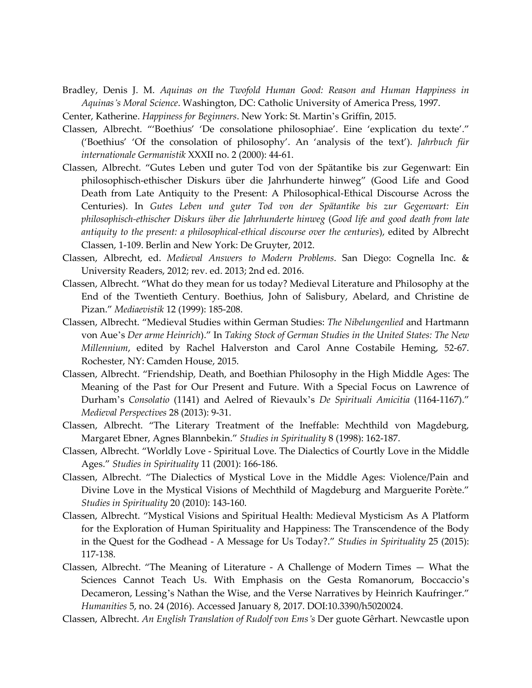Bradley, Denis J. M. *Aquinas on the Twofold Human Good: Reason and Human Happiness in Aquinas's Moral Science*. Washington, DC: Catholic University of America Press, 1997.

Center, Katherine. *Happiness for Beginners*. New York: St. Martin's Griffin, 2015.

- Classen, Albrecht. "'Boethius' 'De consolatione philosophiae'. Eine 'explication du texte'." ('Boethius' 'Of the consolation of philosophy'. An 'analysis of the text'). *Jahrbuch für internationale Germanistik* XXXII no. 2 (2000): 44-61.
- Classen, Albrecht. "Gutes Leben und guter Tod von der Spätantike bis zur Gegenwart: Ein philosophisch-ethischer Diskurs über die Jahrhunderte hinweg" (Good Life and Good Death from Late Antiquity to the Present: A Philosophical-Ethical Discourse Across the Centuries). In *Gutes Leben und guter Tod von der Spätantike bis zur Gegenwart: Ein philosophisch-ethischer Diskurs über die Jahrhunderte hinweg* (*Good life and good death from late antiquity to the present: a philosophical-ethical discourse over the centuries*), edited by Albrecht Classen, 1-109. Berlin and New York: De Gruyter, 2012.
- Classen, Albrecht, ed. *Medieval Answers to Modern Problems*. San Diego: Cognella Inc. & University Readers, 2012; rev. ed. 2013; 2nd ed. 2016.
- Classen, Albrecht. "What do they mean for us today? Medieval Literature and Philosophy at the End of the Twentieth Century. Boethius, John of Salisbury, Abelard, and Christine de Pizan." *Mediaevistik* 12 (1999): 185-208.
- Classen, Albrecht. "Medieval Studies within German Studies: *The Nibelungenlied* and Hartmann von Aue's *Der arme Heinrich*)." In *Taking Stock of German Studies in the United States: The New Millennium*, edited by Rachel Halverston and Carol Anne Costabile Heming, 52-67. Rochester, NY: Camden House, 2015.
- Classen, Albrecht. "Friendship, Death, and Boethian Philosophy in the High Middle Ages: The Meaning of the Past for Our Present and Future. With a Special Focus on Lawrence of Durham's *Consolatio* (1141) and Aelred of Rievaulx's *De Spirituali Amicitia* (1164-1167)." *Medieval Perspectives* 28 (2013): 9-31.
- Classen, Albrecht. "The Literary Treatment of the Ineffable: Mechthild von Magdeburg, Margaret Ebner, Agnes Blannbekin." *Studies in Spirituality* 8 (1998): 162-187.
- Classen, Albrecht. "Worldly Love Spiritual Love. The Dialectics of Courtly Love in the Middle Ages." *Studies in Spirituality* 11 (2001): 166-186.
- Classen, Albrecht. "The Dialectics of Mystical Love in the Middle Ages: Violence/Pain and Divine Love in the Mystical Visions of Mechthild of Magdeburg and Marguerite Porète." *Studies in Spirituality* 20 (2010): 143-160.
- Classen, Albrecht. "Mystical Visions and Spiritual Health: Medieval Mysticism As A Platform for the Exploration of Human Spirituality and Happiness: The Transcendence of the Body in the Quest for the Godhead - A Message for Us Today?." *Studies in Spirituality* 25 (2015): 117-138.
- Classen, Albrecht. "The Meaning of Literature A Challenge of Modern Times What the Sciences Cannot Teach Us. With Emphasis on the Gesta Romanorum, Boccaccio's Decameron, Lessing's Nathan the Wise, and the Verse Narratives by Heinrich Kaufringer." *Humanities* 5, no. 24 (2016). Accessed January 8, 2017. DOI:10.3390/h5020024.
- Classen, Albrecht. *An English Translation of Rudolf von Ems's* Der guote Gêrhart. Newcastle upon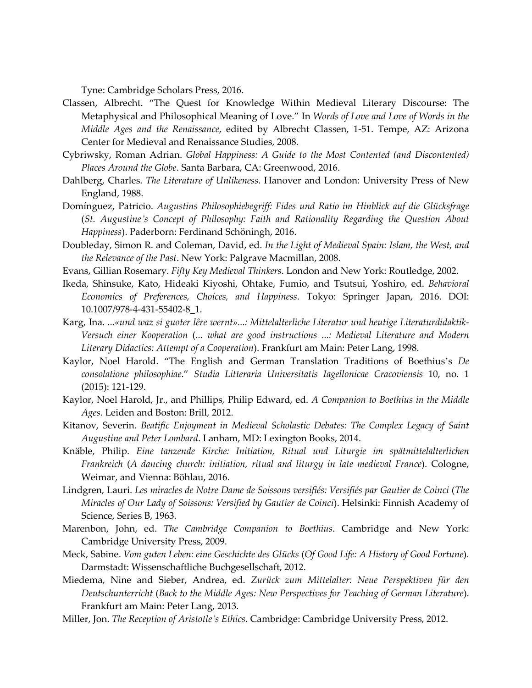Tyne: Cambridge Scholars Press, 2016.

- Classen, Albrecht. "The Quest for Knowledge Within Medieval Literary Discourse: The Metaphysical and Philosophical Meaning of Love." In *Words of Love and Love of Words in the Middle Ages and the Renaissance*, edited by Albrecht Classen, 1-51. Tempe, AZ: Arizona Center for Medieval and Renaissance Studies, 2008.
- Cybriwsky, Roman Adrian. *Global Happiness: A Guide to the Most Contented (and Discontented) Places Around the Globe*. Santa Barbara, CA: Greenwood, 2016.
- Dahlberg, Charles. *The Literature of Unlikeness*. Hanover and London: University Press of New England, 1988.
- Domínguez, Patricio. *Augustins Philosophiebegriff: Fides und Ratio im Hinblick auf die Glücksfrage* (*St. Augustine's Concept of Philosophy: Faith and Rationality Regarding the Question About Happiness*). Paderborn: Ferdinand Schöningh, 2016.
- Doubleday, Simon R. and Coleman, David, ed. *In the Light of Medieval Spain: Islam, the West, and the Relevance of the Past*. New York: Palgrave Macmillan, 2008.
- Evans, Gillian Rosemary. *Fifty Key Medieval Thinkers*. London and New York: Routledge, 2002.
- Ikeda, Shinsuke, Kato, Hideaki Kiyoshi, Ohtake, Fumio, and Tsutsui, Yoshiro, ed. *Behavioral Economics of Preferences, Choices, and Happiness*. Tokyo: Springer Japan, 2016. DOI: 10.1007/978-4-431-55402-8\_1.
- Karg, Ina. *...«und waz si guoter lêre wernt»...: Mittelalterliche Literatur und heutige Literaturdidaktik-Versuch einer Kooperation* (*... what are good instructions ...: Medieval Literature and Modern Literary Didactics: Attempt of a Cooperation*). Frankfurt am Main: Peter Lang, 1998.
- Kaylor, Noel Harold. "The English and German Translation Traditions of Boethius's *De consolatione philosophiae*." *Studia Litteraria Universitatis Iagellonicae Cracoviensis* 10, no. 1 (2015): 121-129.
- Kaylor, Noel Harold, Jr., and Phillips, Philip Edward, ed. *A Companion to Boethius in the Middle Ages*. Leiden and Boston: Brill, 2012.
- Kitanov, Severin. *Beatific Enjoyment in Medieval Scholastic Debates: The Complex Legacy of Saint Augustine and Peter Lombard*. Lanham, MD: Lexington Books, 2014.
- Knäble, Philip. *Eine tanzende Kirche: Initiation, Ritual und Liturgie im spätmittelalterlichen Frankreich* (*A dancing church: initiation, ritual and liturgy in late medieval France*). Cologne, Weimar, and Vienna: Böhlau, 2016.
- Lindgren, Lauri. *Les miracles de Notre Dame de Soissons versifiés: Versifiés par Gautier de Coinci* (*The Miracles of Our Lady of Soissons: Versified by Gautier de Coinci*). Helsinki: Finnish Academy of Science, Series B, 1963.
- Marenbon, John, ed. *The Cambridge Companion to Boethius*. Cambridge and New York: Cambridge University Press, 2009.
- Meck, Sabine. *Vom guten Leben: eine Geschichte des Glücks* (*Of Good Life: A History of Good Fortune*). Darmstadt: Wissenschaftliche Buchgesellschaft, 2012.
- Miedema, Nine and Sieber, Andrea, ed. *Zurück zum Mittelalter: Neue Perspektiven für den Deutschunterricht* (*Back to the Middle Ages: New Perspectives for Teaching of German Literature*). Frankfurt am Main: Peter Lang, 2013.
- Miller, Jon. *The Reception of Aristotle's Ethics*. Cambridge: Cambridge University Press, 2012.